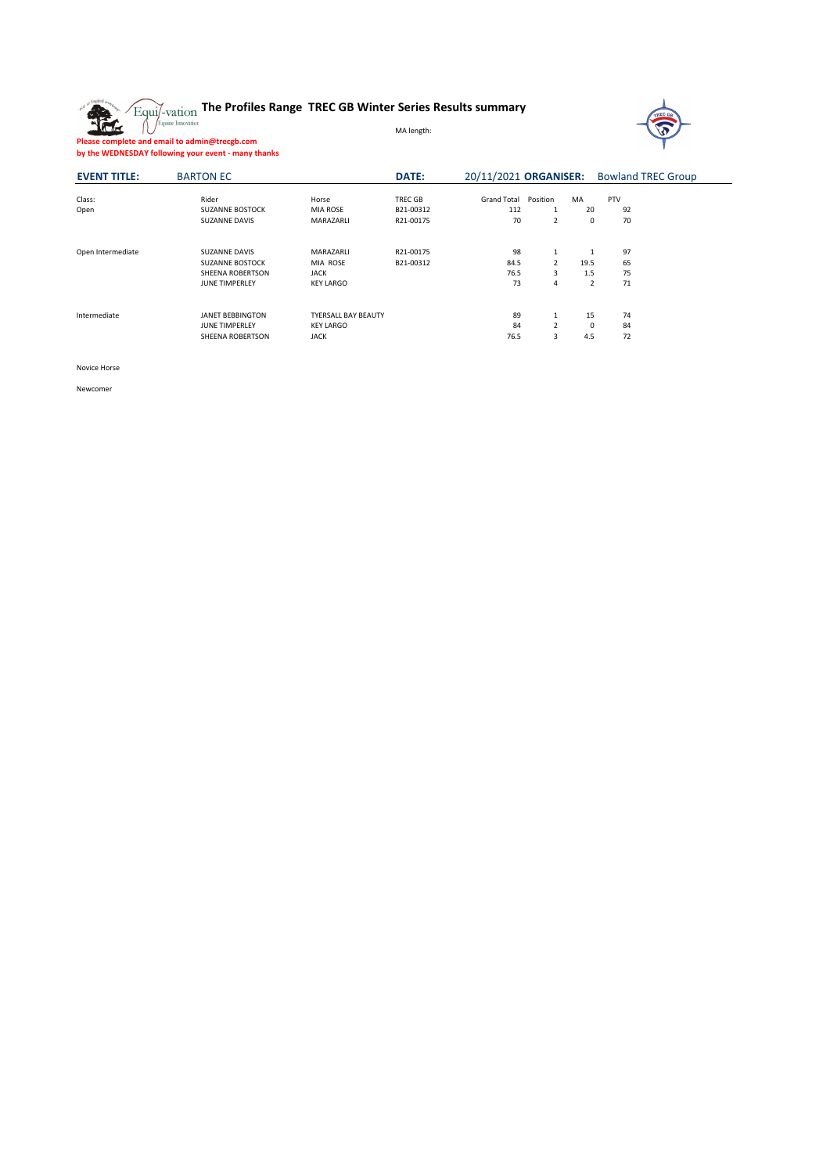

# **The Profiles Range TREC GB Winter Series Results summary**

MA length:



**Please complete and email to admin@trecgb.com**

**by the WEDNESDAY following your event - many thanks**

| <b>EVENT TITLE:</b> | <b>BARTON EC</b>                                                                            |                                                               | <b>DATE:</b>                      | 20/11/2021 ORGANISER:           |                               |                       | <b>Bowland TREC Group</b> |  |  |
|---------------------|---------------------------------------------------------------------------------------------|---------------------------------------------------------------|-----------------------------------|---------------------------------|-------------------------------|-----------------------|---------------------------|--|--|
| Class:<br>Open      | Rider<br><b>SUZANNE BOSTOCK</b><br><b>SUZANNE DAVIS</b>                                     | Horse<br>MIA ROSE<br>MARAZARLI                                | TREC GB<br>B21-00312<br>R21-00175 | <b>Grand Total</b><br>112<br>70 | Position<br>$\overline{2}$    | MA<br>20<br>0         | <b>PTV</b><br>92<br>70    |  |  |
| Open Intermediate   | <b>SUZANNE DAVIS</b><br><b>SUZANNE BOSTOCK</b><br>SHEENA ROBERTSON<br><b>JUNE TIMPERLEY</b> | MARAZARLI<br>MIA ROSE<br><b>JACK</b><br><b>KEY LARGO</b>      | R21-00175<br>B21-00312            | 98<br>84.5<br>76.5<br>73        | 2<br>3<br>4                   | 1<br>19.5<br>1.5<br>2 | 97<br>65<br>75<br>71      |  |  |
| Intermediate        | <b>JANET BEBBINGTON</b><br><b>JUNE TIMPERLEY</b><br>SHEENA ROBERTSON                        | <b>TYERSALL BAY BEAUTY</b><br><b>KEY LARGO</b><br><b>JACK</b> |                                   | 89<br>84<br>76.5                | $\overline{\mathcal{L}}$<br>3 | 15<br>0<br>4.5        | 74<br>84<br>72            |  |  |

Novice Horse

Newcomer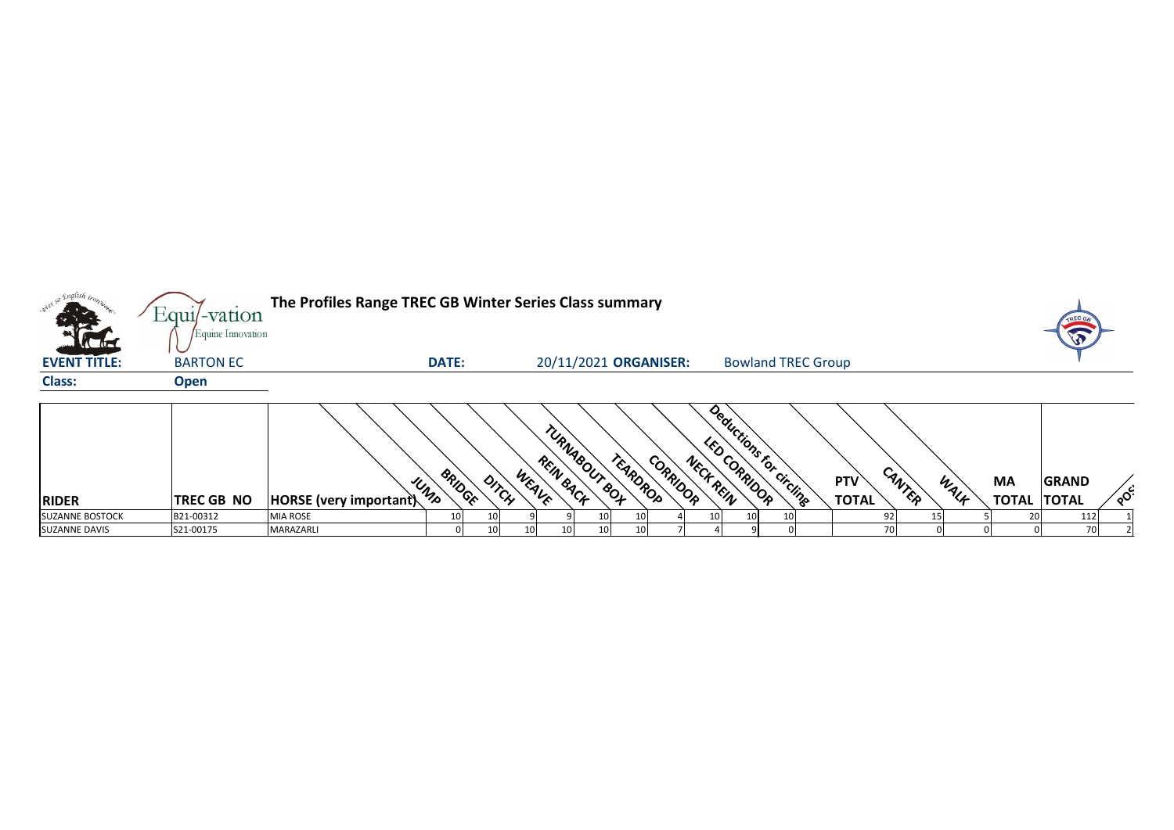|                        | Equil-vation                          | The Profiles Range TREC GB Winter Series Class summary |               |                 |                |           |                           |          |           |              |                           |                            |                |      |                                 |              |                            |
|------------------------|---------------------------------------|--------------------------------------------------------|---------------|-----------------|----------------|-----------|---------------------------|----------|-----------|--------------|---------------------------|----------------------------|----------------|------|---------------------------------|--------------|----------------------------|
| <b>EVENT TITLE:</b>    | Equine Innovation<br><b>BARTON EC</b> |                                                        | <b>DATE:</b>  |                 |                |           | 20/11/2021 ORGANISER:     |          |           |              | <b>Bowland TREC Group</b> |                            |                |      |                                 |              |                            |
| <b>Class:</b>          | <b>Open</b>                           |                                                        |               |                 |                |           |                           |          |           |              |                           |                            |                |      |                                 |              |                            |
| <b>RIDER</b>           | <b>TREC GB NO</b>                     | <b>HORSE</b> (very important)                          | BRIDGE<br>UND |                 | WEAVE<br>DITCH | REIN BACK | TURNAGOUT GOT<br>TEARDROP | CORRIDOR | NECK REIN | LED CORRIDOR | Deductions for circling   | <b>PTV</b><br><b>TOTAL</b> | CANTER         | WALK | <b>MA</b><br><b>TOTAL TOTAL</b> | <b>GRAND</b> | $\mathcal{S}_{\mathbf{Q}}$ |
| <b>SUZANNE BOSTOCK</b> | B21-00312                             | <b>MIA ROSE</b>                                        | 10            | 10 <sub>l</sub> |                |           |                           |          | 10I       | 10I          |                           |                            | 92             |      | 20                              | 112          |                            |
| <b>SUZANNE DAVIS</b>   | S21-00175                             | MARAZARLI                                              |               | 10              |                |           |                           |          |           |              |                           |                            | 7 <sub>0</sub> |      |                                 | 70           |                            |





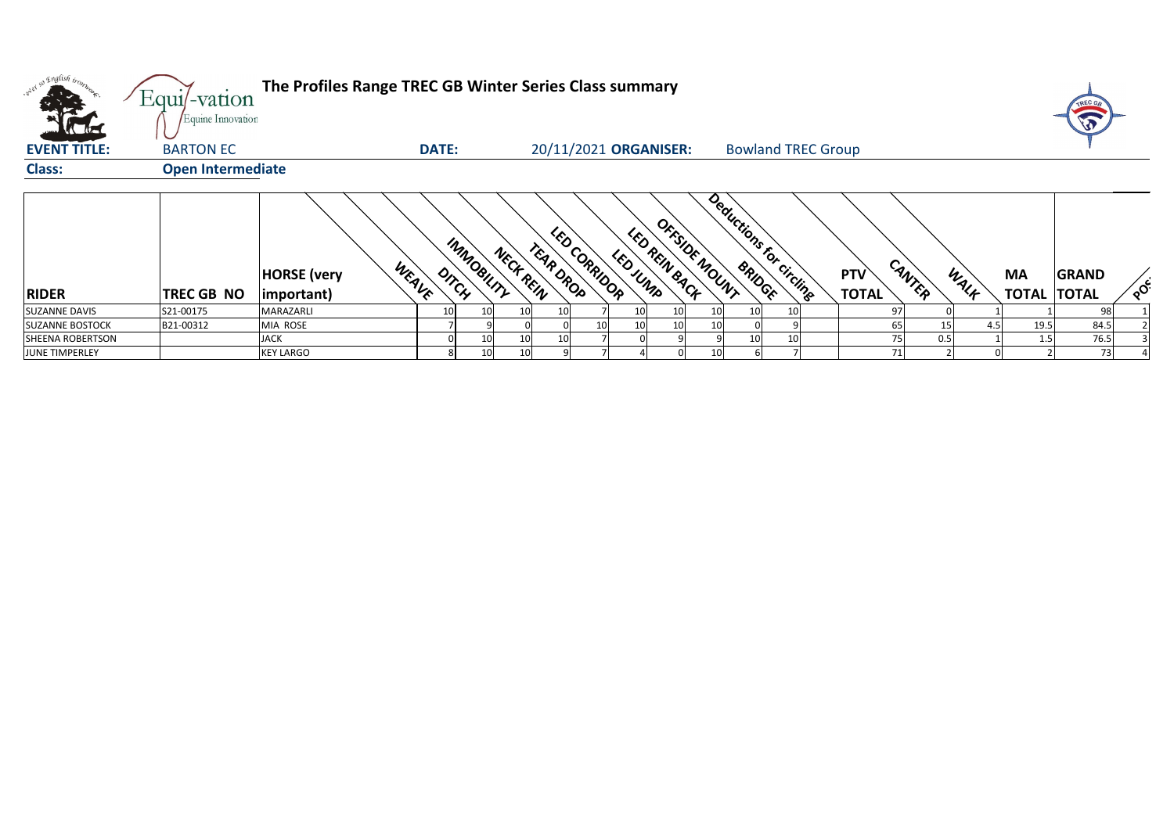| <b>KERE</b>             | Equil-vation<br>Equine Innovation | The Profiles Range TREC GB Winter Series Class summary |                |            |           |                       |              |           |               |                 |                 |                           |                            |        |      |                                 |              |    |
|-------------------------|-----------------------------------|--------------------------------------------------------|----------------|------------|-----------|-----------------------|--------------|-----------|---------------|-----------------|-----------------|---------------------------|----------------------------|--------|------|---------------------------------|--------------|----|
| <b>EVENT TITLE:</b>     | <b>BARTON EC</b>                  |                                                        | <b>DATE:</b>   |            |           | 20/11/2021 ORGANISER: |              |           |               |                 |                 | <b>Bowland TREC Group</b> |                            |        |      |                                 |              |    |
| <b>Class:</b>           | <b>Open Intermediate</b>          |                                                        |                |            |           |                       |              |           |               |                 |                 |                           |                            |        |      |                                 |              |    |
| RIDER                   | TREC GB NO                        | <b>HORSE</b> (very<br>(important)                      | WEAVE<br>DITCH | IMMOBILITY | NECK REIN | TEAR DROP             | LED CORRIDOR | LED JURIP | LED REIN BACK | OFFSIDE MOUNT   |                 | Deductions for circling   | <b>PTV</b><br><b>TOTAL</b> | CANTER | WALF | <b>MA</b><br><b>TOTAL TOTAL</b> | <b>GRAND</b> | ໌ດ |
| <b>SUZANNE DAVIS</b>    | S21-00175                         | MARAZARLI                                              | <b>10</b>      | 10I        | 10I       | 10                    |              | 10        | 10            | 10I             | 10I             |                           |                            | 97     |      |                                 | 98           |    |
| <b>SUZANNE BOSTOCK</b>  | B21-00312                         | MIA ROSE                                               |                |            |           |                       |              | 10        | 10            |                 |                 |                           |                            | 65     | 4.5  | 19.5                            | 84.5         |    |
| <b>SHEENA ROBERTSON</b> |                                   | <b>JACK</b>                                            |                | 10         | 10        | 10 <sup>1</sup>       |              |           |               |                 | 10 <sub>l</sub> |                           |                            | 75     | 0.5  | 1.5                             | 76.5         |    |
| <b>JUNE TIMPERLEY</b>   |                                   | <b>KEY LARGO</b>                                       |                | 10         | 10        |                       |              |           |               | 10 <sup>1</sup> |                 |                           |                            | 71     |      |                                 | 73           |    |



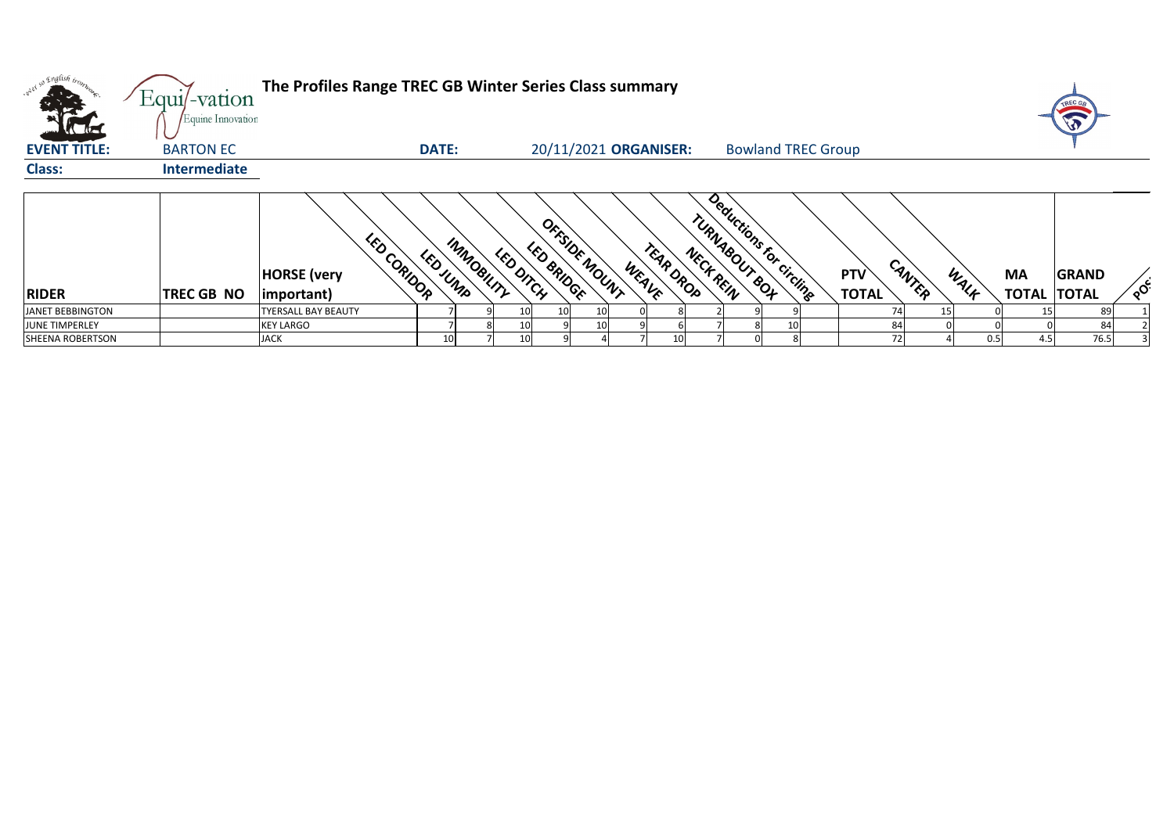| what so English in                      | $Equi$ -vation                        | The Profiles Range TREC GB Winter Series Class summary   |              |                        |                   |                       |                    |           |                                          |  |                            |        |      |           |                                    |    |
|-----------------------------------------|---------------------------------------|----------------------------------------------------------|--------------|------------------------|-------------------|-----------------------|--------------------|-----------|------------------------------------------|--|----------------------------|--------|------|-----------|------------------------------------|----|
| <b>Catalogue</b><br><b>EVENT TITLE:</b> | Equine Innovation<br><b>BARTON EC</b> |                                                          | <b>DATE:</b> |                        |                   | 20/11/2021 ORGANISER: |                    |           | <b>Bowland TREC Group</b>                |  |                            |        |      |           |                                    |    |
| <b>Class:</b>                           | <b>Intermediate</b>                   |                                                          |              |                        |                   |                       |                    |           |                                          |  |                            |        |      |           |                                    |    |
| RIDER                                   | TREC GB NO                            | LED CORIDOR<br><b>HORSE</b> (very<br>$ important\rangle$ | LEDJUND      | IMMOGILITY<br>LEDDITCH | <b>LED BRIDGE</b> | OFFSIDE MOUNT         | TEAR ORDO<br>WEAVE | NECK REIN | Deductions for circling<br>TURNAGOUT GOT |  | <b>PTV</b><br><b>TOTAL</b> | CANTER | WALF | <b>MA</b> | <b>GRAND</b><br><b>TOTAL TOTAL</b> | ໌ດ |
| JANET BEBBINGTON                        |                                       | <b>TYERSALL BAY BEAUTY</b>                               |              | 101                    | 10 <sup>1</sup>   |                       |                    |           |                                          |  |                            | 74I    | 15   |           | 89                                 |    |
| JUNE TIMPERLEY                          |                                       | <b>KEY LARGO</b>                                         |              |                        |                   |                       |                    |           |                                          |  |                            | 84     |      |           | 84                                 |    |
| SHEENA ROBERTSON                        |                                       | <b>JACK</b>                                              | 10           | 10                     |                   |                       | 10                 |           |                                          |  |                            | 72     | 0.5  | 4.5       | 76.5                               |    |



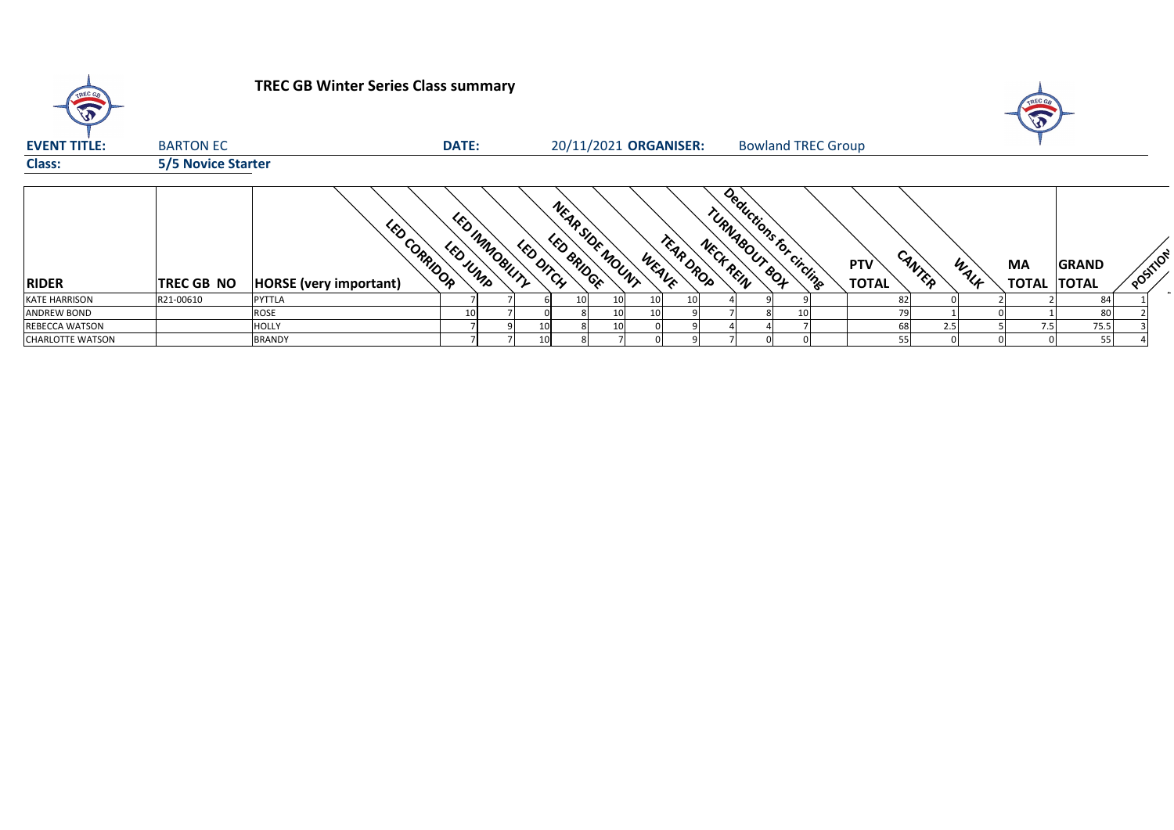

## **TREC GB Winter Series Class summary**

| <b>EVENT TITLE:</b>     | <b>BARTON EC</b>          |                                               | <b>DATE:</b>                |                 |                               |                 |       | 20/11/2021 ORGANISER:  |               | <b>Bowland TREC Group</b> |                            |                |           |                                    |        |
|-------------------------|---------------------------|-----------------------------------------------|-----------------------------|-----------------|-------------------------------|-----------------|-------|------------------------|---------------|---------------------------|----------------------------|----------------|-----------|------------------------------------|--------|
| <b>Class:</b>           | <b>5/5 Novice Starter</b> |                                               |                             |                 |                               |                 |       |                        |               |                           |                            |                |           |                                    |        |
| <b>RIDER</b>            | <b>TREC GB NO</b>         | LED CORRIDOR<br><b>HORSE</b> (very important) | LED INMOBILITY<br>LED JURIP | LED DITCH       | NEAR SIDE MOUNT<br>LED BRIDGE |                 | WEAVE | TEAR DROP<br>NECK REIN | TURNAGOUT GOT | Deductions for circling   | <b>PTV</b><br><b>TOTAL</b> | CANTER<br>WALK | <b>MA</b> | <b>GRAND</b><br><b>TOTAL TOTAL</b> | $\sim$ |
| <b>KATE HARRISON</b>    | R21-00610                 | <b>PYTTLA</b>                                 |                             |                 |                               | 10 <sub>l</sub> | 10    |                        |               |                           | 82                         |                |           | 84                                 |        |
| <b>ANDREW BOND</b>      |                           | <b>ROSE</b>                                   |                             |                 |                               | 10 <sup>1</sup> | 10    |                        |               | 10                        | 79                         |                |           | 80                                 |        |
| <b>REBECCA WATSON</b>   |                           | <b>HOLLY</b>                                  |                             | 10              |                               | 10 <sub>l</sub> |       |                        |               |                           | 68                         | 2.5            | 7.5       | 75.5                               |        |
| <b>CHARLOTTE WATSON</b> |                           | <b>BRANDY</b>                                 |                             | 10 <sup>1</sup> |                               |                 |       |                        |               |                           | 55 <sub>1</sub>            |                |           | 55                                 |        |



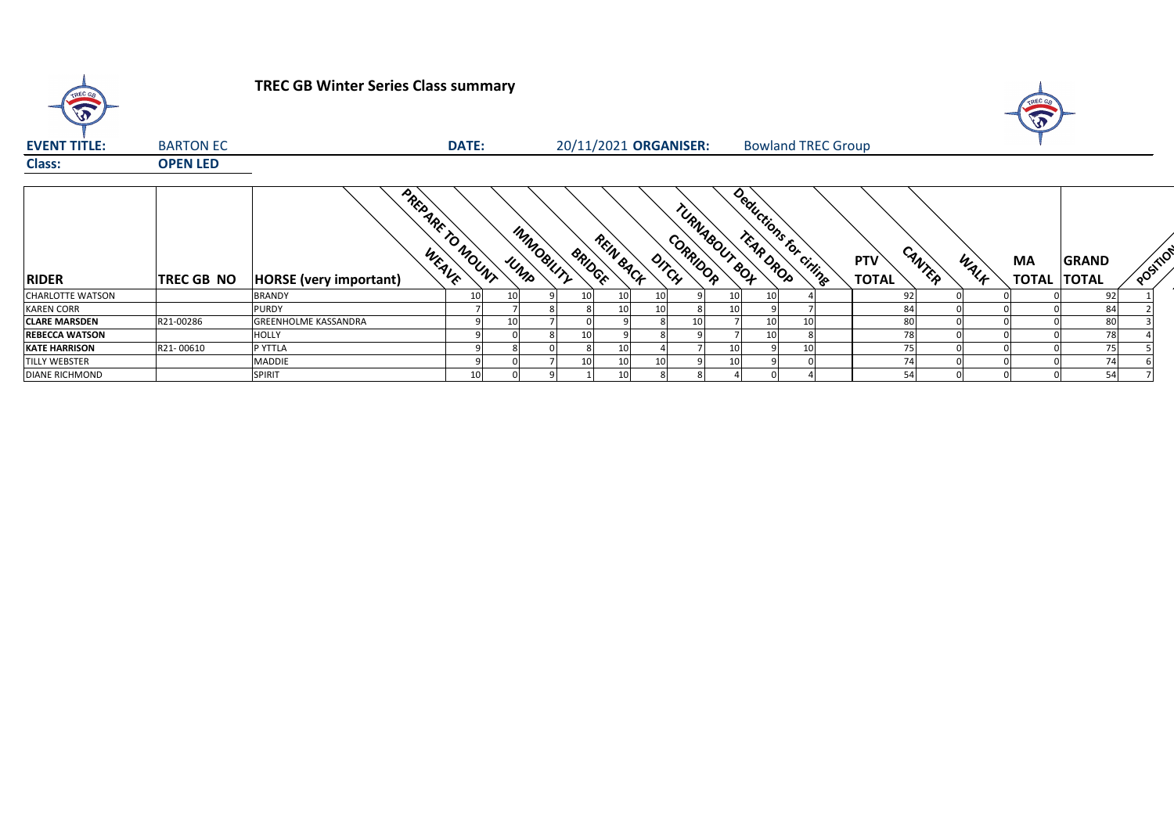

# **TREC GB Winter Series Class summary**

| <b>EVENT TITLE:</b>     | <b>BARTON EC</b>  |                                 | <b>DATE:</b>     |                    |               | 20/11/2021 ORGANISER: |                   |               | <b>Bowland TREC Group</b> |                            |        |      |                           |                              |          |
|-------------------------|-------------------|---------------------------------|------------------|--------------------|---------------|-----------------------|-------------------|---------------|---------------------------|----------------------------|--------|------|---------------------------|------------------------------|----------|
| <b>Class:</b>           | <b>OPEN LED</b>   |                                 |                  |                    |               |                       |                   |               |                           |                            |        |      |                           |                              |          |
| <b>RIDER</b>            | <b>TREC GB NO</b> | WEAVE<br>HORSE (very important) | PREPARE TO MOUNT | IMMOGILITY<br>UNID | <b>BRIDGE</b> | REIN BACK             | CORRIDOR<br>DITCH | TURNAGOUT BOT | Deductions for ciringe    | <b>PTV</b><br><b>TOTAL</b> | CANTER | WALF | <b>MA</b><br><b>TOTAL</b> | <b>GRAND</b><br><b>TOTAL</b> | POSITION |
| <b>CHARLOTTE WATSON</b> |                   |                                 |                  |                    |               |                       |                   |               |                           |                            |        |      |                           |                              |          |
|                         |                   | <b>BRANDY</b>                   | 10 <sup>1</sup>  |                    |               | 10 <sub>l</sub>       |                   | 10            |                           | 92                         |        |      |                           | 92                           |          |
| <b>KAREN CORR</b>       |                   | <b>PURDY</b>                    |                  |                    |               | 10I                   |                   | 10            |                           | 84                         |        |      |                           | 84                           |          |
| <b>CLARE MARSDEN</b>    | R21-00286         | <b>GREENHOLME KASSANDRA</b>     |                  |                    |               |                       | 10                |               | 10I                       | 80                         |        |      |                           | 80                           |          |
| <b>REBECCA WATSON</b>   |                   | <b>HOLLY</b>                    |                  |                    |               |                       |                   |               |                           | 78                         |        |      |                           | 78                           |          |
| <b>KATE HARRISON</b>    | R21-00610         | P YTTLA                         |                  |                    |               | 10                    |                   | 10            | 10I                       |                            |        |      |                           |                              |          |
| <b>TILLY WEBSTER</b>    |                   | <b>MADDIE</b>                   |                  |                    |               | 10 <sub>l</sub>       |                   | 10            |                           |                            |        |      |                           | 74                           |          |